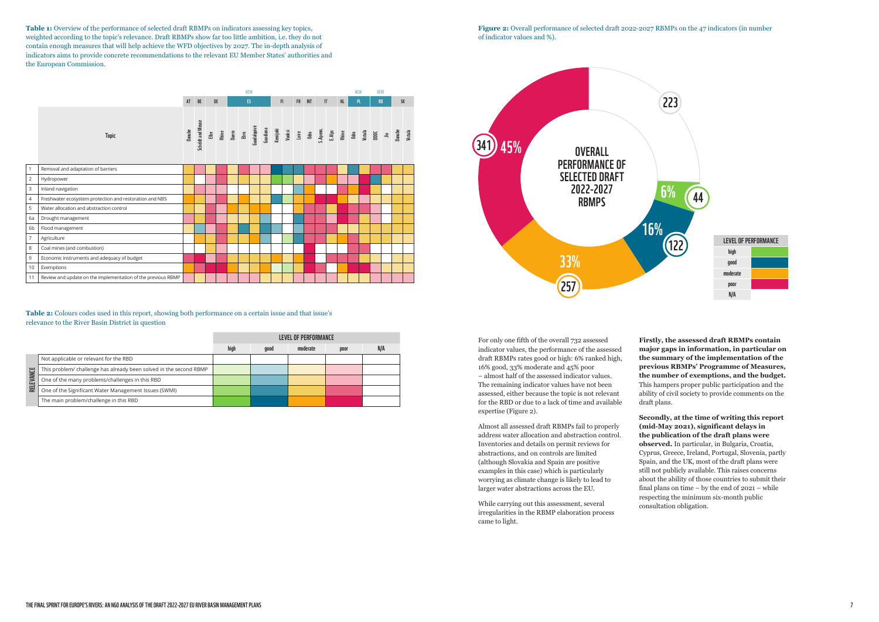## **Table 2:** Colours codes used in this report, showing both performance on a certain issue and that issue's relevance to the River Basin District in question

**Table 1:** Overview of the performance of selected draft RBMPs on indicators assessing key topics, weighted according to the topic's relevance. Draft RBMPs show far too little ambition, i.e. they do not contain enough measures that will help achieve the WFD objectives by 2027. The in-depth analysis of indicators aims to provide concrete recommendations to the relevant EU Member States' authorities and the European Commission.

|                    |                                                                    | LEVEL OF PERFORMANCE |      |          |      |     |
|--------------------|--------------------------------------------------------------------|----------------------|------|----------|------|-----|
|                    |                                                                    | high                 | good | moderate | poor | N/A |
| <b>EVANCE</b><br>핉 | Not applicable or relevant for the RBD                             |                      |      |          |      |     |
|                    | This problem/ challenge has already been solved in the second RBMP |                      |      |          |      |     |
|                    | One of the many problems/challenges in this RBD                    |                      |      |          |      |     |
|                    | One of the Significant Water Management Issues (SWMI)              |                      |      |          |      |     |
|                    | The main problem/challenge in this RBD                             |                      |      |          |      |     |



For only one fifth of the overall 732 assessed indicator values, the performance of the assessed draft RBMPs rates good or high: 6% ranked high, 16% good, 33% moderate and 45% poor

– almost half of the assessed indicator values. The remaining indicator values have not been assessed, either because the topic is not relevant for the RBD or due to a lack of time and available expertise (Figure 2).

Almost all assessed draft RBMPs fail to properly address water allocation and abstraction control. Inventories and details on permit reviews for abstractions, and on controls are limited (although Slovakia and Spain are positive examples in this case) which is particularly worrying as climate change is likely to lead to larger water abstractions across the EU.

While carrying out this assessment, several irregularities in the RBMP elaboration process came to light.

**Firstly, the assessed draft RBMPs contain major gaps in information, in particular on the summary of the implementation of the previous RBMPs' Programme of Measures, the number of exemptions, and the budget.**  This hampers proper public participation and the ability of civil society to provide comments on the draft plans.

**Secondly, at the time of writing this report (mid-May 2021), significant delays in the publication of the draft plans were observed.** In particular, in Bulgaria, Croatia, Cyprus, Greece, Ireland, Portugal, Slovenia, partly Spain, and the UK, most of the draft plans were still not publicly available. This raises concerns about the ability of those countries to submit their final plans on time – by the end of 2021 – while respecting the minimum six-month public consultation obligation.

**Figure 2:** Overall performance of selected draft 2022-2027 RBMPs on the 47 indicators (in number of indicator values and %).

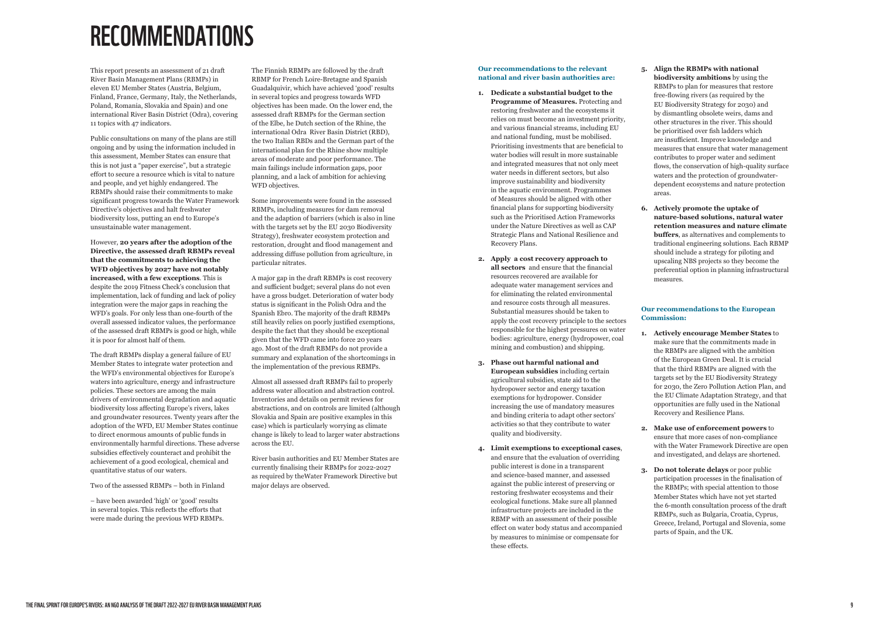# RECOMMENDATIONS

This report presents an assessment of 21 draft River Basin Management Plans (RBMPs) in eleven EU Member States (Austria, Belgium, Finland, France, Germany, Italy, the Netherlands, Poland, Romania, Slovakia and Spain) and one international River Basin District (Odra), covering 11 topics with 47 indicators.

Public consultations on many of the plans are still ongoing and by using the information included in this assessment, Member States can ensure that this is not just a "paper exercise", but a strategic effort to secure a resource which is vital to nature and people, and yet highly endangered. The RBMPs should raise their commitments to make significant progress towards the Water Framework Directive's objectives and halt freshwater biodiversity loss, putting an end to Europe's unsustainable water management.

The Finnish RBMPs are followed by the draft RBMP for French Loire-Bretagne and Spanish Guadalquivir, which have achieved 'good' results in several topics and progress towards WFD objectives has been made. On the lower end, the assessed draft RBMPs for the German section of the Elbe, he Dutch section of the Rhine, the international Odra River Basin District (RBD), the two Italian RBDs and the German part of the international plan for the Rhine show multiple areas of moderate and poor performance. The main failings include information gaps, poor planning, and a lack of ambition for achieving WFD objectives.

However, **20 years after the adoption of the Directive, the assessed draft RBMPs reveal that the commitments to achieving the WFD objectives by 2027 have not notably increased, with a few exceptions**. This is despite the 2019 Fitness Check's conclusion that implementation, lack of funding and lack of policy integration were the major gaps in reaching the WFD's goals. For only less than one-fourth of the overall assessed indicator values, the performance of the assessed draft RBMPs is good or high, while it is poor for almost half of them.

The draft RBMPs display a general failure of EU Member States to integrate water protection and the WFD's environmental objectives for Europe's waters into agriculture, energy and infrastructure policies. These sectors are among the main drivers of environmental degradation and aquatic biodiversity loss affecting Europe's rivers, lakes and groundwater resources. Twenty years after the adoption of the WFD, EU Member States continue to direct enormous amounts of public funds in environmentally harmful directions. These adverse subsidies effectively counteract and prohibit the achievement of a good ecological, chemical and quantitative status of our waters.

Two of the assessed RBMPs – both in Finland

– have been awarded 'high' or 'good' results in several topics. This reflects the efforts that were made during the previous WFD RBMPs. Some improvements were found in the assessed RBMPs, including measures for dam removal and the adaption of barriers (which is also in line with the targets set by the EU 2030 Biodiversity Strategy), freshwater ecosystem protection and restoration, drought and flood management and addressing diffuse pollution from agriculture, in particular nitrates.

A major gap in the draft RBMPs is cost recovery and sufficient budget; several plans do not even have a gross budget. Deterioration of water body status is significant in the Polish Odra and the Spanish Ebro. The majority of the draft RBMPs still heavily relies on poorly justified exemptions, despite the fact that they should be exceptional given that the WFD came into force 20 years ago. Most of the draft RBMPs do not provide a summary and explanation of the shortcomings in the implementation of the previous RBMPs.

Almost all assessed draft RBMPs fail to properly address water allocation and abstraction control. Inventories and details on permit reviews for abstractions, and on controls are limited (although Slovakia and Spain are positive examples in this case) which is particularly worrying as climate change is likely to lead to larger water abstractions across the EU.

River basin authorities and EU Member States are currently finalising their RBMPs for 2022-2027 as required by theWater Framework Directive but major delays are observed.

**5. Align the RBMPs with national biodiversity ambitions** by using the RBMPs to plan for measures that restore free-flowing rivers (as required by the EU Biodiversity Strategy for 2030) and by dismantling obsolete weirs, dams and other structures in the river. This should be prioritised over fish ladders which are insufficient. Improve knowledge and measures that ensure that water management contributes to proper water and sediment flows, the conservation of high-quality surface waters and the protection of groundwaterdependent ecosystems and nature protection areas.

**6. Actively promote the uptake of nature-based solutions, natural water retention measures and nature climate buffers**, as alternatives and complements to traditional engineering solutions. Each RBMP should include a strategy for piloting and upscaling NBS projects so they become the preferential option in planning infrastructural measures.

## **Our recommendations to the European Commission:**

**1. Actively encourage Member States** to make sure that the commitments made in the RBMPs are aligned with the ambition of the European Green Deal. It is crucial that the third RBMPs are aligned with the targets set by the EU Biodiversity Strategy for 2030, the Zero Pollution Action Plan, and the EU Climate Adaptation Strategy, and that opportunities are fully used in the National Recovery and Resilience Plans.

**2. Make use of enforcement powers** to ensure that more cases of non-compliance with the Water Framework Directive are open and investigated, and delays are shortened.

**3. Do not tolerate delays** or poor public participation processes in the finalisation of the RBMPs; with special attention to those Member States which have not yet started the 6-month consultation process of the draft RBMPs, such as Bulgaria, Croatia, Cyprus, Greece, Ireland, Portugal and Slovenia, some parts of Spain, and the UK.

## **Our recommendations to the relevant national and river basin authorities are:**

- **1. Dedicate a substantial budget to the Programme of Measures.** Protecting and restoring freshwater and the ecosystems it relies on must become an investment priority, and various financial streams, including EU and national funding, must be mobilised. Prioritising investments that are beneficial to water bodies will result in more sustainable and integrated measures that not only meet water needs in different sectors, but also improve sustainability and biodiversity in the aquatic environment. Programmes of Measures should be aligned with other financial plans for supporting biodiversity such as the Prioritised Action Frameworks under the Nature Directives as well as CAP Strategic Plans and National Resilience and Recovery Plans.
- **2. Apply a cost recovery approach to all sectors** and ensure that the financial resources recovered are available for adequate water management services and for eliminating the related environmental and resource costs through all measures. Substantial measures should be taken to apply the cost recovery principle to the sectors responsible for the highest pressures on water bodies: agriculture, energy (hydropower, coal mining and combustion) and shipping.
- **3. Phase out harmful national and European subsidies** including certain agricultural subsidies, state aid to the hydropower sector and energy taxation exemptions for hydropower. Consider increasing the use of mandatory measures and binding criteria to adapt other sectors' activities so that they contribute to water quality and biodiversity.
- **4. Limit exemptions to exceptional cases**, and ensure that the evaluation of overriding public interest is done in a transparent and science-based manner, and assessed against the public interest of preserving or restoring freshwater ecosystems and their ecological functions. Make sure all planned infrastructure projects are included in the RBMP with an assessment of their possible effect on water body status and accompanied by measures to minimise or compensate for these effects.